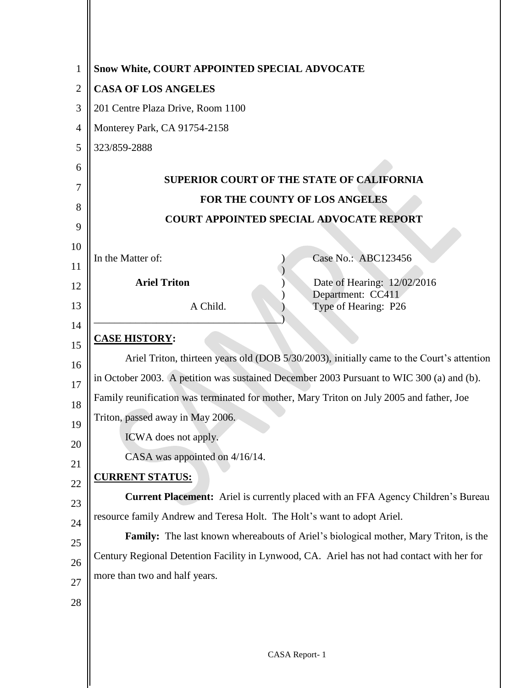| 1              | <b>Snow White, COURT APPOINTED SPECIAL ADVOCATE</b>                                        |
|----------------|--------------------------------------------------------------------------------------------|
| $\overline{2}$ | <b>CASA OF LOS ANGELES</b>                                                                 |
| 3              | 201 Centre Plaza Drive, Room 1100                                                          |
| 4              | Monterey Park, CA 91754-2158                                                               |
| 5              | 323/859-2888                                                                               |
| 6              | <b>SUPERIOR COURT OF THE STATE OF CALIFORNIA</b>                                           |
| 7              | FOR THE COUNTY OF LOS ANGELES                                                              |
| 8              | <b>COURT APPOINTED SPECIAL ADVOCATE REPORT</b>                                             |
| 9              |                                                                                            |
| 10             | Case No.: ABC123456<br>In the Matter of:                                                   |
| 11             |                                                                                            |
| 12             | <b>Ariel Triton</b><br>Date of Hearing: 12/02/2016<br>Department: CC411                    |
| 13             | A Child.<br>Type of Hearing: P26                                                           |
| 14             | <b>CASE HISTORY:</b>                                                                       |
| 15             | Ariel Triton, thirteen years old (DOB 5/30/2003), initially came to the Court's attention  |
| 16             | in October 2003. A petition was sustained December 2003 Pursuant to WIC 300 (a) and (b).   |
| 17             | Family reunification was terminated for mother, Mary Triton on July 2005 and father, Joe   |
| 18             | Triton, passed away in May 2006.                                                           |
| 19<br>20       | ICWA does not apply.                                                                       |
| 21             | CASA was appointed on 4/16/14.                                                             |
| 22             | <b>CURRENT STATUS:</b>                                                                     |
| 23             | Current Placement: Ariel is currently placed with an FFA Agency Children's Bureau          |
| 24             | resource family Andrew and Teresa Holt. The Holt's want to adopt Ariel.                    |
| 25             | Family: The last known whereabouts of Ariel's biological mother, Mary Triton, is the       |
| 26             | Century Regional Detention Facility in Lynwood, CA. Ariel has not had contact with her for |
| 27             | more than two and half years.                                                              |
| 28             |                                                                                            |
|                |                                                                                            |
|                |                                                                                            |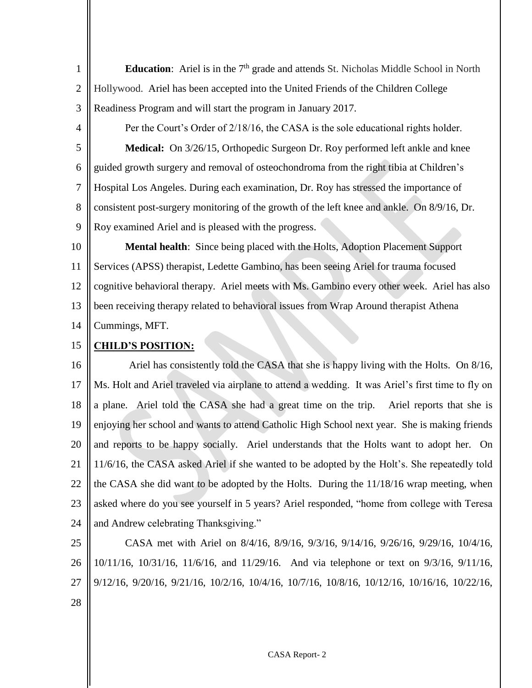1 2 3 **Education**: Ariel is in the  $7<sup>th</sup>$  grade and attends St. Nicholas Middle School in North Hollywood. Ariel has been accepted into the United Friends of the Children College Readiness Program and will start the program in January 2017.

4

5

6

7

8

9

Per the Court's Order of 2/18/16, the CASA is the sole educational rights holder. **Medical:** On 3/26/15, Orthopedic Surgeon Dr. Roy performed left ankle and knee guided growth surgery and removal of osteochondroma from the right tibia at Children's Hospital Los Angeles. During each examination, Dr. Roy has stressed the importance of consistent post-surgery monitoring of the growth of the left knee and ankle. On 8/9/16, Dr. Roy examined Ariel and is pleased with the progress.

10 11 12 13 14 **Mental health**: Since being placed with the Holts, Adoption Placement Support Services (APSS) therapist, Ledette Gambino, has been seeing Ariel for trauma focused cognitive behavioral therapy. Ariel meets with Ms. Gambino every other week. Ariel has also been receiving therapy related to behavioral issues from Wrap Around therapist Athena Cummings, MFT.

15 **CHILD'S POSITION:**

16 17 18 19 20 21 22 23 24 Ariel has consistently told the CASA that she is happy living with the Holts. On 8/16, Ms. Holt and Ariel traveled via airplane to attend a wedding. It was Ariel's first time to fly on a plane. Ariel told the CASA she had a great time on the trip. Ariel reports that she is enjoying her school and wants to attend Catholic High School next year. She is making friends and reports to be happy socially. Ariel understands that the Holts want to adopt her. On 11/6/16, the CASA asked Ariel if she wanted to be adopted by the Holt's. She repeatedly told the CASA she did want to be adopted by the Holts. During the 11/18/16 wrap meeting, when asked where do you see yourself in 5 years? Ariel responded, "home from college with Teresa and Andrew celebrating Thanksgiving."

25 26 27 28 CASA met with Ariel on 8/4/16, 8/9/16, 9/3/16, 9/14/16, 9/26/16, 9/29/16, 10/4/16, 10/11/16, 10/31/16, 11/6/16, and 11/29/16. And via telephone or text on 9/3/16, 9/11/16, 9/12/16, 9/20/16, 9/21/16, 10/2/16, 10/4/16, 10/7/16, 10/8/16, 10/12/16, 10/16/16, 10/22/16,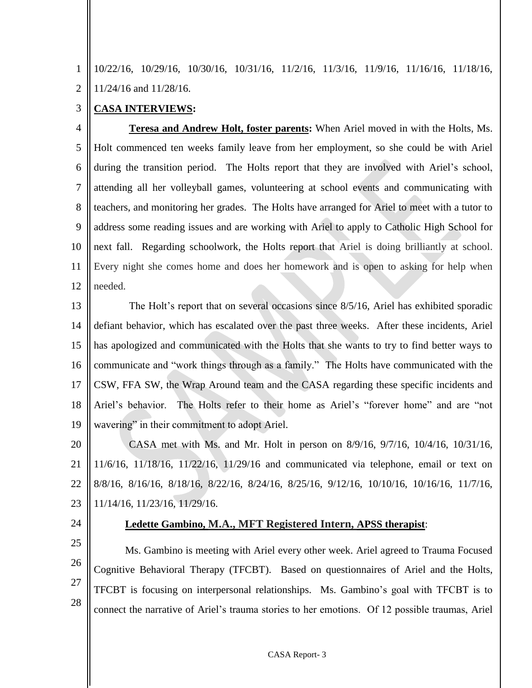1  $\mathfrak{D}$ 10/22/16, 10/29/16, 10/30/16, 10/31/16, 11/2/16, 11/3/16, 11/9/16, 11/16/16, 11/18/16, 11/24/16 and 11/28/16.

## 3 **CASA INTERVIEWS:**

4 5 6 7 8 9 10 11 12 **Teresa and Andrew Holt, foster parents:** When Ariel moved in with the Holts, Ms. Holt commenced ten weeks family leave from her employment, so she could be with Ariel during the transition period. The Holts report that they are involved with Ariel's school, attending all her volleyball games, volunteering at school events and communicating with teachers, and monitoring her grades. The Holts have arranged for Ariel to meet with a tutor to address some reading issues and are working with Ariel to apply to Catholic High School for next fall. Regarding schoolwork, the Holts report that Ariel is doing brilliantly at school. Every night she comes home and does her homework and is open to asking for help when needed.

13 14 15 16 17 18 19 The Holt's report that on several occasions since 8/5/16, Ariel has exhibited sporadic defiant behavior, which has escalated over the past three weeks. After these incidents, Ariel has apologized and communicated with the Holts that she wants to try to find better ways to communicate and "work things through as a family." The Holts have communicated with the CSW, FFA SW, the Wrap Around team and the CASA regarding these specific incidents and Ariel's behavior. The Holts refer to their home as Ariel's "forever home" and are "not wavering" in their commitment to adopt Ariel.

20 21 22 23 CASA met with Ms. and Mr. Holt in person on 8/9/16, 9/7/16, 10/4/16, 10/31/16, 11/6/16, 11/18/16, 11/22/16, 11/29/16 and communicated via telephone, email or text on 8/8/16, 8/16/16, 8/18/16, 8/22/16, 8/24/16, 8/25/16, 9/12/16, 10/10/16, 10/16/16, 11/7/16, 11/14/16, 11/23/16, 11/29/16.

24

## **Ledette Gambino, M.A., MFT Registered Intern, APSS therapist**:

25 26 27 28 Ms. Gambino is meeting with Ariel every other week. Ariel agreed to Trauma Focused Cognitive Behavioral Therapy (TFCBT). Based on questionnaires of Ariel and the Holts, TFCBT is focusing on interpersonal relationships. Ms. Gambino's goal with TFCBT is to connect the narrative of Ariel's trauma stories to her emotions. Of 12 possible traumas, Ariel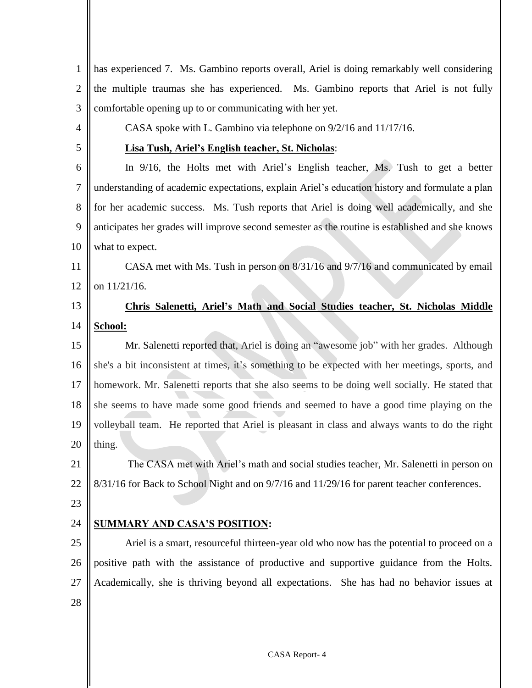| $\mathbf{1}$   | has experienced 7. Ms. Gambino reports overall, Ariel is doing remarkably well considering      |
|----------------|-------------------------------------------------------------------------------------------------|
| $\overline{2}$ | the multiple traumas she has experienced. Ms. Gambino reports that Ariel is not fully           |
| 3              | comfortable opening up to or communicating with her yet.                                        |
| $\overline{4}$ | CASA spoke with L. Gambino via telephone on 9/2/16 and 11/17/16.                                |
| 5              | Lisa Tush, Ariel's English teacher, St. Nicholas:                                               |
| 6              | In 9/16, the Holts met with Ariel's English teacher, Ms. Tush to get a better                   |
| $\tau$         | understanding of academic expectations, explain Ariel's education history and formulate a plan  |
| 8              | for her academic success. Ms. Tush reports that Ariel is doing well academically, and she       |
| 9              | anticipates her grades will improve second semester as the routine is established and she knows |
| 10             | what to expect.                                                                                 |
| 11             | CASA met with Ms. Tush in person on 8/31/16 and 9/7/16 and communicated by email                |
| 12             | on 11/21/16.                                                                                    |
| 13             | Chris Salenetti, Ariel's Math and Social Studies teacher, St. Nicholas Middle                   |
| 14             | School:                                                                                         |
| 15             | Mr. Salenetti reported that, Ariel is doing an "awesome job" with her grades. Although          |
| 16             | she's a bit inconsistent at times, it's something to be expected with her meetings, sports, and |
| 17             | homework. Mr. Salenetti reports that she also seems to be doing well socially. He stated that   |
| 18             | she seems to have made some good friends and seemed to have a good time playing on the          |
| 19             | volleyball team. He reported that Ariel is pleasant in class and always wants to do the right   |
|                | $20$   thing.                                                                                   |
| 21             | The CASA met with Ariel's math and social studies teacher, Mr. Salenetti in person on           |
| 22             | 8/31/16 for Back to School Night and on 9/7/16 and 11/29/16 for parent teacher conferences.     |
| 23             |                                                                                                 |
| 24             | <b>SUMMARY AND CASA'S POSITION:</b>                                                             |
| 25             | Ariel is a smart, resourceful thirteen-year old who now has the potential to proceed on a       |
| 26             | positive path with the assistance of productive and supportive guidance from the Holts.         |
| 27             | Academically, she is thriving beyond all expectations. She has had no behavior issues at        |
| 28             |                                                                                                 |
|                |                                                                                                 |
|                |                                                                                                 |